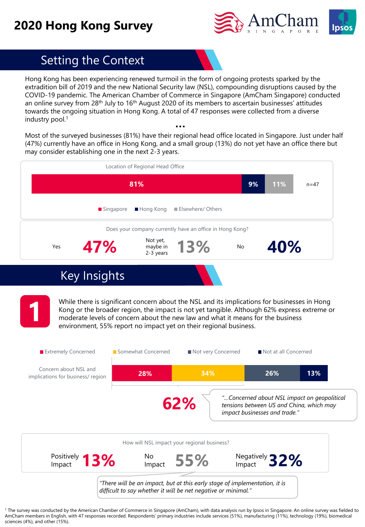## **2020 Hong Kong Survey**



## Setting the Context

Hong Kong has been experiencing renewed turmoil in the form of ongoing protests sparked by the extradition bill of 2019 and the new National Security law (NSL), compounding disruptions caused by the COVID-19 pandemic. The American Chamber of Commerce in Singapore (AmCham Singapore) conducted an online survey from  $28<sup>th</sup>$  July to  $16<sup>th</sup>$  August 2020 of its members to ascertain businesses' attitudes towards the ongoing situation in Hong Kong. A total of 47 responses were collected from a diverse industry pool.<sup>1</sup>

Most of the surveyed businesses (81%) have their regional head office located in Singapore. Just under half (47%) currently have an office in Hong Kong, and a small group (13%) do not yet have an office there but may consider establishing one in the next 2-3 years.

|     | 81%                      |                                   |                                                          | 9% | 11% | $n = 47$ |
|-----|--------------------------|-----------------------------------|----------------------------------------------------------|----|-----|----------|
|     | $\blacksquare$ Singapore | $\blacksquare$ Hong Kong          | <b>Elsewhere/ Others</b>                                 |    |     |          |
|     |                          |                                   | Does your company currently have an office in Hong Kong? |    |     |          |
| Yes | 47%                      | Not yet,<br>maybe in<br>2-3 years | 13%                                                      | No | 40% |          |

## Key Insights

While there is significant concern about the NSL and its implications for businesses in Hong<br>Kong or the broader region, the impact is not yet tangible. Although 62% express extreme of<br>moderate levels of concern about the Kong or the broader region, the impact is not yet tangible. Although 62% express extreme or moderate levels of concern about the new law and what it means for the business environment, 55% report no impact yet on their regional business.



<sup>1</sup> The survey was conducted by the American Chamber of Commerce in Singapore (AmCham), with data analysis run by Ipsos in Singapore. An online survey was fielded to AmCham members in English, with 47 responses recorded. Respondents' primary industries include services (51%), manufacturing (11%), technology (19%), biomedical sciences (4%), and other (15%).